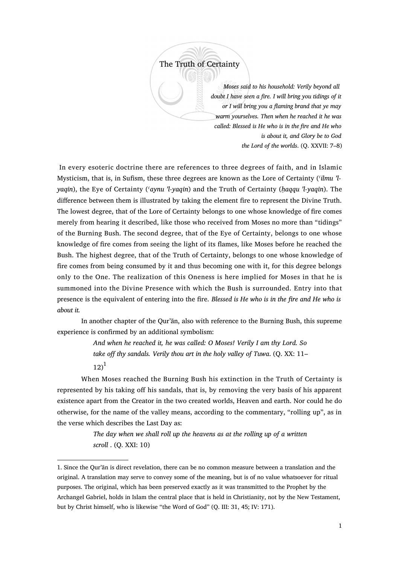## The Truth of Certainty

*Moses said to his household: Verily beyond all doubt I have seen a "re. I will bring you tidings of it or I will bring you a #aming brand that ye may warm yourselves. Then when he reached it he was called: Blessed is He who is in the "re and He who is about it, and Glory be to God the Lord of the worlds*. (Q. XXVII: 7–8)

 In every esoteric doctrine there are references to three degrees of faith, and in Islamic Mysticism, that is, in Sufism, these three degrees are known as the Lore of Certainty ('ilmu 'l*yaqīn*), the Eye of Certainty (*ʿaynu 'l-yaqīn*) and the Truth of Certainty (*ḥaqqu 'l-yaqīn*). The difference between them is illustrated by taking the element fire to represent the Divine Truth. The lowest degree, that of the Lore of Certainty belongs to one whose knowledge of fire comes merely from hearing it described, like those who received from Moses no more than "tidings" of the Burning Bush. The second degree, that of the Eye of Certainty, belongs to one whose knowledge of fire comes from seeing the light of its flames, like Moses before he reached the Bush. The highest degree, that of the Truth of Certainty, belongs to one whose knowledge of fire comes from being consumed by it and thus becoming one with it, for this degree belongs only to the One. The realization of this Oneness is here implied for Moses in that he is summoned into the Divine Presence with which the Bush is surrounded. Entry into that presence is the equivalent of entering into the fire. *Blessed is He who is in the fire and He who is about it.*

In another chapter of the Qur'ān, also with reference to the Burning Bush, this supreme experience is confirmed by an additional symbolism:

> *And when he reached it, he was called: O Moses! Verily I am thy Lord. So take o% thy sandals. Verily thou art in the holy valley of Tuwa*. (Q. XX: 11–  $12)^{1}$  $12)^{1}$

When Moses reached the Burning Bush his extinction in the Truth of Certainty is represented by his taking off his sandals, that is, by removing the very basis of his apparent existence apart from the Creator in the two created worlds, Heaven and earth. Nor could he do otherwise, for the name of the valley means, according to the commentary, "rolling up", as in the verse which describes the Last Day as:

> *The day when we shall roll up the heavens as at the rolling up of a written scroll* . (Q. XXI: 10)

<span id="page-0-0"></span><sup>1.</sup> Since the Qur'ān is direct revelation, there can be no common measure between a translation and the original. A translation may serve to convey some of the meaning, but is of no value whatsoever for ritual purposes. The original, which has been preserved exactly as it was transmitted to the Prophet by the Archangel Gabriel, holds in Islam the central place that is held in Christianity, not by the New Testament, but by Christ himself, who is likewise "the Word of God" (Q. III: 31, 45; IV: 171).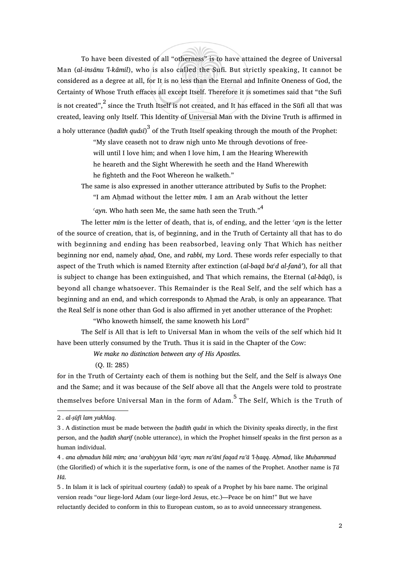To have been divested of all "otherness" is to have attained the degree of Universal Man (*al-insānu 'l-kāmil*), who is also called the Su". But strictly speaking, It cannot be considered as a degree at all, for It is no less than the Eternal and Infinite Oneness of God, the Certainty of Whose Truth effaces all except Itself. Therefore it is sometimes said that "the Sufi is not created", $^2$  $^2$  since the Truth Itself is not created, and It has effaced in the Sūfi all that was created, leaving only Itself. This Identity of Universal Man with the Divine Truth is affirmed in a holy utterance (*ḥadīth qudsī*) [3](#page-1-1) of the Truth Itself speaking through the mouth of the Prophet:

> "My slave ceaseth not to draw nigh unto Me through devotions of freewill until I love him; and when I love him, I am the Hearing Wherewith he heareth and the Sight Wherewith he seeth and the Hand Wherewith he fighteth and the Foot Whereon he walketh."

The same is also expressed in another utterance attributed by Sufis to the Prophet: "I am Aḥmad without the letter *mīm*. I am an Arab without the letter

*<sup>ʿ</sup>ayn*. Who hath seen Me, the same hath seen the Truth."[4](#page-1-2)

The letter *mīm* is the letter of death, that is, of ending, and the letter *ʿayn* is the letter of the source of creation, that is, of beginning, and in the Truth of Certainty all that has to do with beginning and ending has been reabsorbed, leaving only That Which has neither beginning nor end, namely *aḥad*, One, and *rabbī*, my Lord. These words refer especially to that aspect of the Truth which is named Eternity after extinction (*al-baqā baʿd al-fanā'*), for all that is subject to change has been extinguished, and That which remains, the Eternal (*al-bāqī*), is beyond all change whatsoever. This Remainder is the Real Self, and the self which has a beginning and an end, and which corresponds to Ahmad the Arab, is only an appearance. That the Real Self is none other than God is also affirmed in yet another utterance of the Prophet:

"Who knoweth himself, the same knoweth his Lord"

The Self is All that is left to Universal Man in whom the veils of the self which hid It have been utterly consumed by the Truth. Thus it is said in the Chapter of the Cow:

*We make no distinction between any of His Apostles.* 

(Q. II: 285)

for in the Truth of Certainty each of them is nothing but the Self, and the Self is always One and the Same; and it was because of the Self above all that the Angels were told to prostrate themselves before Universal Man in the form of Adam.<sup>[5](#page-1-3)</sup> The Self, Which is the Truth of

<span id="page-1-0"></span><sup>2 .</sup> *al-ṣūfī lam yukhlaq.*

<span id="page-1-1"></span><sup>3 .</sup> A distinction must be made between the *ḥadīth qudsī* in which the Divinity speaks directly, in the "rst person, and the *ḥadīth sharīf* (noble utterance), in which the Prophet himself speaks in the first person as a human individual.

<span id="page-1-2"></span><sup>4.</sup> ana ahmadun bilā mīm; ana 'arabiyyun bilā 'ayn; man ra'ānī fagad ra'ā 'l-hagq. Ahmad, like Muhammad (the Glorified) of which it is the superlative form, is one of the names of the Prophet. Another name is  $T\bar{a}$ *Hā*.

<span id="page-1-3"></span><sup>5 .</sup> In Islam it is lack of spiritual courtesy (*adab*) to speak of a Prophet by his bare name. The original version reads "our liege-lord Adam (our liege-lord Jesus, etc.)—Peace be on him!" But we have reluctantly decided to conform in this to European custom, so as to avoid unnecessary strangeness.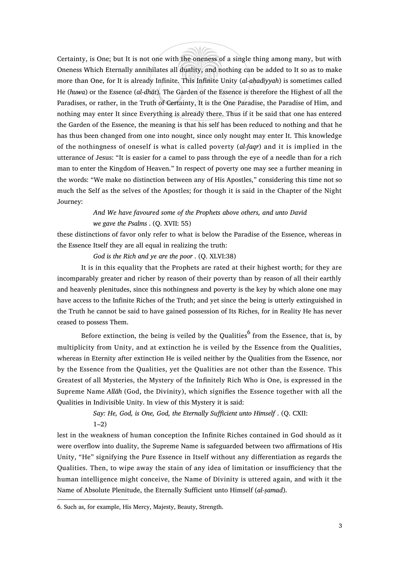Certainty, is One; but It is not one with the oneness of a single thing among many, but with Oneness Which Eternally annihilates all duality, and nothing can be added to It so as to make more than One, for It is already Infinite. This Infinite Unity (*al-ahadiyyah*) is sometimes called He (*huwa*) or the Essence (*al-dhāt*). The Garden of the Essence is therefore the Highest of all the Paradises, or rather, in the Truth of Certainty, It is the One Paradise, the Paradise of Him, and nothing may enter It since Everything is already there. Thus if it be said that one has entered the Garden of the Essence, the meaning is that his self has been reduced to nothing and that he has thus been changed from one into nought, since only nought may enter It. This knowledge of the nothingness of oneself is what is called poverty (*al-faqr*) and it is implied in the utterance of Jesus: "It is easier for a camel to pass through the eye of a needle than for a rich man to enter the Kingdom of Heaven." In respect of poverty one may see a further meaning in the words: "We make no distinction between any of His Apostles," considering this time not so much the Self as the selves of the Apostles; for though it is said in the Chapter of the Night Journey:

## *And We have favoured some of the Prophets above others, and unto David we gave the Psalms* . (Q. XVII: 55)

these distinctions of favor only refer to what is below the Paradise of the Essence, whereas in the Essence Itself they are all equal in realizing the truth:

*God is the Rich and ye are the poor* . (Q. XLVI:38)

It is in this equality that the Prophets are rated at their highest worth; for they are incomparably greater and richer by reason of their poverty than by reason of all their earthly and heavenly plenitudes, since this nothingness and poverty is the key by which alone one may have access to the Infinite Riches of the Truth; and yet since the being is utterly extinguished in the Truth he cannot be said to have gained possession of Its Riches, for in Reality He has never ceased to possess Them.

Before extinction, the being is veiled by the Qualities $^6$  $^6$  from the Essence, that is, by multiplicity from Unity, and at extinction he is veiled by the Essence from the Qualities, whereas in Eternity after extinction He is veiled neither by the Qualities from the Essence, nor by the Essence from the Qualities, yet the Qualities are not other than the Essence. This Greatest of all Mysteries, the Mystery of the Infinitely Rich Who is One, is expressed in the Supreme Name *Allāh* (God, the Divinity), which signifies the Essence together with all the Qualities in Indivisible Unity. In view of this Mystery it is said:

*Say: He, God, is One, God, the Eternally Su\$cient unto Himself* . (Q. CXII:

1–2)

lest in the weakness of human conception the Infinite Riches contained in God should as it were overflow into duality, the Supreme Name is safeguarded between two affirmations of His Unity, "He" signifying the Pure Essence in Itself without any differentiation as regards the Qualities. Then, to wipe away the stain of any idea of limitation or insufficiency that the human intelligence might conceive, the Name of Divinity is uttered again, and with it the Name of Absolute Plenitude, the Eternally Sufficient unto Himself (*al-samad*).

<span id="page-2-0"></span><sup>6.</sup> Such as, for example, His Mercy, Majesty, Beauty, Strength.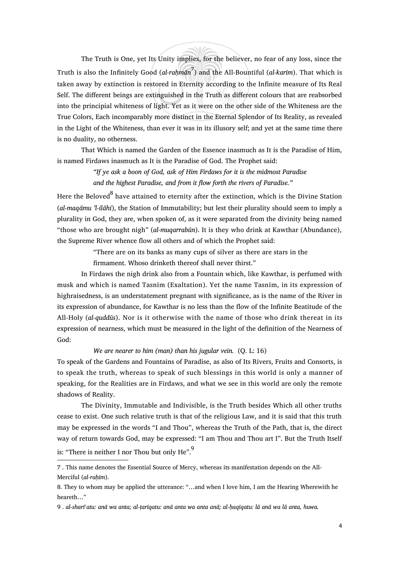The Truth is One, yet Its Unity implies, for the believer, no fear of any loss, since the Truth is also the In"nitely Good (*al-raḥmān* [7](#page-3-0) ) and the All-Bountiful (*al-karīm*). That which is taken away by extinction is restored in Eternity according to the Infinite measure of Its Real Self. The different beings are extinguished in the Truth as different colours that are reabsorbed into the principial whiteness of light. Yet as it were on the other side of the Whiteness are the True Colors, Each incomparably more distinct in the Eternal Splendor of Its Reality, as revealed in the Light of the Whiteness, than ever it was in its illusory self; and yet at the same time there is no duality, no otherness.

That Which is named the Garden of the Essence inasmuch as It is the Paradise of Him, is named Firdaws inasmuch as It is the Paradise of God. The Prophet said:

> *"If ye ask a boon of God, ask of Him Firdaws for it is the midmost Paradise and the highest Paradise, and from it #ow forth the rivers of Paradise."*

Here the Beloved $^8$  $^8$  have attained to eternity after the extinction, which is the Divine Station (*al-maqāmu 'l-ilāhī*), the Station of Immutability; but lest their plurality should seem to imply a plurality in God, they are, when spoken of, as it were separated from the divinity being named "those who are brought nigh" (*al-muqarrabūn*). It is they who drink at Kawthar (Abundance), the Supreme River whence flow all others and of which the Prophet said:

"There are on its banks as many cups of silver as there are stars in the

firmament. Whoso drinketh thereof shall never thirst."

In Firdaws the nigh drink also from a Fountain which, like Kawthar, is perfumed with musk and which is named Tasnīm (Exaltation). Yet the name Tasnīm, in its expression of highraisedness, is an understatement pregnant with significance, as is the name of the River in its expression of abundance, for Kawthar is no less than the flow of the Infinite Beatitude of the All-Holy (*al-quddūs*). Nor is it otherwise with the name of those who drink thereat in its expression of nearness, which must be measured in the light of the definition of the Nearness of God:

## *We are nearer to him (man) than his jugular vein.* (Q. L: 16)

To speak of the Gardens and Fountains of Paradise, as also of Its Rivers, Fruits and Consorts, is to speak the truth, whereas to speak of such blessings in this world is only a manner of speaking, for the Realities are in Firdaws, and what we see in this world are only the remote shadows of Reality.

The Divinity, Immutable and Indivisible, is the Truth besides Which all other truths cease to exist. One such relative truth is that of the religious Law, and it is said that this truth may be expressed in the words "I and Thou", whereas the Truth of the Path, that is, the direct way of return towards God, may be expressed: "I am Thou and Thou art I". But the Truth Itself is: "There is neither I nor Thou but only He".<sup>[9](#page-3-2)</sup>

<span id="page-3-0"></span><sup>7 .</sup> This name denotes the Essential Source of Mercy, whereas its manifestation depends on the All-Merciful (*al-raḥīm*).

<span id="page-3-1"></span><sup>8.</sup> They to whom may be applied the utterance: "…and when I love him, I am the Hearing Wherewith he heareth…"

<span id="page-3-2"></span><sup>9 ,</sup> al-sharīʿatu; anā wa anta; al-tarīgatu; anā anta wa anta anā; al-hagīgatu; lā anā wa lā anta, huwa.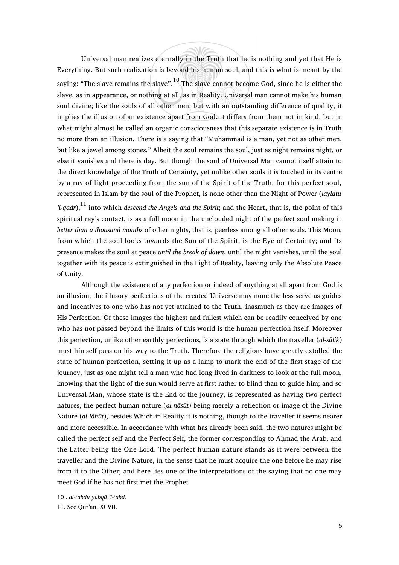Universal man realizes eternally in the Truth that he is nothing and yet that He is Everything. But such realization is beyond his human soul, and this is what is meant by the saying: "The slave remains the slave".<sup>[10](#page-4-0)</sup> The slave cannot become God, since he is either the slave, as in appearance, or nothing at all, as in Reality. Universal man cannot make his human soul divine; like the souls of all other men, but with an outstanding difference of quality, it implies the illusion of an existence apart from God. It differs from them not in kind, but in what might almost be called an organic consciousness that this separate existence is in Truth no more than an illusion. There is a saying that "Muhammad is a man, yet not as other men, but like a jewel among stones." Albeit the soul remains the soul, just as night remains night, or else it vanishes and there is day. But though the soul of Universal Man cannot itself attain to the direct knowledge of the Truth of Certainty, yet unlike other souls it is touched in its centre by a ray of light proceeding from the sun of the Spirit of the Truth; for this perfect soul, represented in Islam by the soul of the Prophet, is none other than the Night of Power (*laylatu* '*l-qadr*),<sup>[11](#page-4-1)</sup> into which *descend the Angels and the Spirit*; and the Heart, that is, the point of this spiritual ray's contact, is as a full moon in the unclouded night of the perfect soul making it *better than a thousand months* of other nights, that is, peerless among all other souls. This Moon, from which the soul looks towards the Sun of the Spirit, is the Eye of Certainty; and its presence makes the soul at peace *until the break of dawn*, until the night vanishes, until the soul together with its peace is extinguished in the Light of Reality, leaving only the Absolute Peace of Unity.

Although the existence of any perfection or indeed of anything at all apart from God is an illusion, the illusory perfections of the created Universe may none the less serve as guides and incentives to one who has not yet attained to the Truth, inasmuch as they are images of His Perfection. Of these images the highest and fullest which can be readily conceived by one who has not passed beyond the limits of this world is the human perfection itself. Moreover this perfection, unlike other earthly perfections, is a state through which the traveller (*al-sālik*) must himself pass on his way to the Truth. Therefore the religions have greatly extolled the state of human perfection, setting it up as a lamp to mark the end of the first stage of the journey, just as one might tell a man who had long lived in darkness to look at the full moon, knowing that the light of the sun would serve at first rather to blind than to guide him; and so Universal Man, whose state is the End of the journey, is represented as having two perfect natures, the perfect human nature (*al-nāsūt*) being merely a reflection or image of the Divine Nature (*al-lāhūt*), besides Which in Reality it is nothing, though to the traveller it seems nearer and more accessible. In accordance with what has already been said, the two natures might be called the perfect self and the Perfect Self, the former corresponding to Ahmad the Arab, and the Latter being the One Lord. The perfect human nature stands as it were between the traveller and the Divine Nature, in the sense that he must acquire the one before he may rise from it to the Other; and here lies one of the interpretations of the saying that no one may meet God if he has not first met the Prophet.

<span id="page-4-0"></span><sup>10 .</sup> *al-ʿabdu yabqā 'l-ʿabd.*

<span id="page-4-1"></span><sup>11.</sup> See Qur'ān, XCVII.